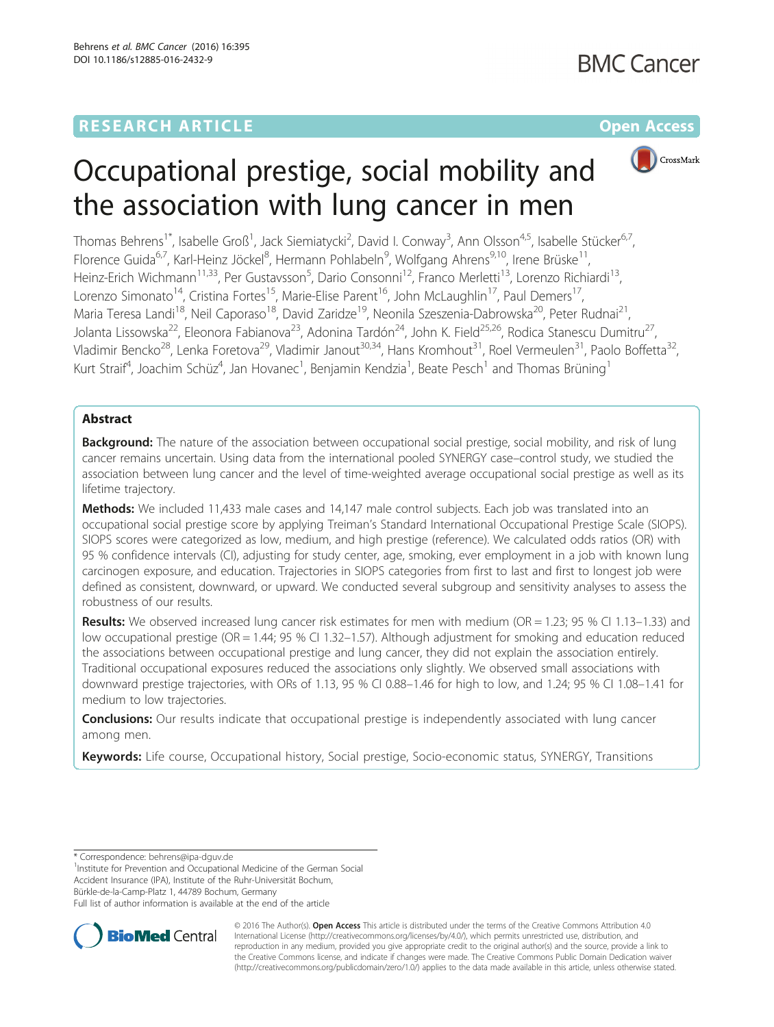# **RESEARCH ARTICLE Example 2018 12:00 Department of the CONNECTION CONNECTION CONNECTION CONNECTION**

**BMC Cancer** 



# Occupational prestige, social mobility and the association with lung cancer in men

Thomas Behrens<sup>1\*</sup>, Isabelle Groß<sup>1</sup>, Jack Siemiatycki<sup>2</sup>, David I. Conway<sup>3</sup>, Ann Olsson<sup>4,5</sup>, Isabelle Stücker<sup>6,7</sup>, Florence Guida<sup>6,7</sup>, Karl-Heinz Jöckel<sup>8</sup>, Hermann Pohlabeln<sup>9</sup>, Wolfgang Ahrens<sup>9,10</sup>, Irene Brüske<sup>11</sup>, Heinz-Erich Wichmann<sup>11,33</sup>, Per Gustavsson<sup>5</sup>, Dario Consonni<sup>12</sup>, Franco Merletti<sup>13</sup>, Lorenzo Richiardi<sup>13</sup>, Lorenzo Simonato<sup>14</sup>, Cristina Fortes<sup>15</sup>, Marie-Elise Parent<sup>16</sup>, John McLaughlin<sup>17</sup>, Paul Demers<sup>17</sup>, Maria Teresa Landi<sup>18</sup>, Neil Caporaso<sup>18</sup>, David Zaridze<sup>19</sup>, Neonila Szeszenia-Dabrowska<sup>20</sup>, Peter Rudnai<sup>21</sup>, Jolanta Lissowska<sup>22</sup>, Eleonora Fabianova<sup>23</sup>, Adonina Tardón<sup>24</sup>, John K. Field<sup>25,26</sup>, Rodica Stanescu Dumitru<sup>27</sup>, Vladimir Bencko<sup>28</sup>, Lenka Foretova<sup>29</sup>, Vladimir Janout<sup>30,34</sup>, Hans Kromhout<sup>31</sup>, Roel Vermeulen<sup>31</sup>, Paolo Boffetta<sup>32</sup>, Kurt Straif<sup>4</sup>, Joachim Schüz<sup>4</sup>, Jan Hovanec<sup>1</sup>, Benjamin Kendzia<sup>1</sup>, Beate Pesch<sup>1</sup> and Thomas Brüning<sup>1</sup>

# Abstract

**Background:** The nature of the association between occupational social prestige, social mobility, and risk of lung cancer remains uncertain. Using data from the international pooled SYNERGY case–control study, we studied the association between lung cancer and the level of time-weighted average occupational social prestige as well as its lifetime trajectory.

Methods: We included 11,433 male cases and 14,147 male control subjects. Each job was translated into an occupational social prestige score by applying Treiman's Standard International Occupational Prestige Scale (SIOPS). SIOPS scores were categorized as low, medium, and high prestige (reference). We calculated odds ratios (OR) with 95 % confidence intervals (CI), adjusting for study center, age, smoking, ever employment in a job with known lung carcinogen exposure, and education. Trajectories in SIOPS categories from first to last and first to longest job were defined as consistent, downward, or upward. We conducted several subgroup and sensitivity analyses to assess the robustness of our results.

Results: We observed increased lung cancer risk estimates for men with medium (OR = 1.23; 95 % CI 1.13–1.33) and low occupational prestige (OR = 1.44; 95 % CI 1.32–1.57). Although adjustment for smoking and education reduced the associations between occupational prestige and lung cancer, they did not explain the association entirely. Traditional occupational exposures reduced the associations only slightly. We observed small associations with downward prestige trajectories, with ORs of 1.13, 95 % CI 0.88–1.46 for high to low, and 1.24; 95 % CI 1.08–1.41 for medium to low trajectories.

**Conclusions:** Our results indicate that occupational prestige is independently associated with lung cancer among men.

Keywords: Life course, Occupational history, Social prestige, Socio-economic status, SYNERGY, Transitions

\* Correspondence: [behrens@ipa-dguv.de](mailto:behrens@ipa-dguv.de) <sup>1</sup>

<sup>1</sup>Institute for Prevention and Occupational Medicine of the German Social Accident Insurance (IPA), Institute of the Ruhr-Universität Bochum, Bürkle-de-la-Camp-Platz 1, 44789 Bochum, Germany

Full list of author information is available at the end of the article



© 2016 The Author(s). Open Access This article is distributed under the terms of the Creative Commons Attribution 4.0 International License [\(http://creativecommons.org/licenses/by/4.0/](http://creativecommons.org/licenses/by/4.0/)), which permits unrestricted use, distribution, and reproduction in any medium, provided you give appropriate credit to the original author(s) and the source, provide a link to the Creative Commons license, and indicate if changes were made. The Creative Commons Public Domain Dedication waiver [\(http://creativecommons.org/publicdomain/zero/1.0/](http://creativecommons.org/publicdomain/zero/1.0/)) applies to the data made available in this article, unless otherwise stated.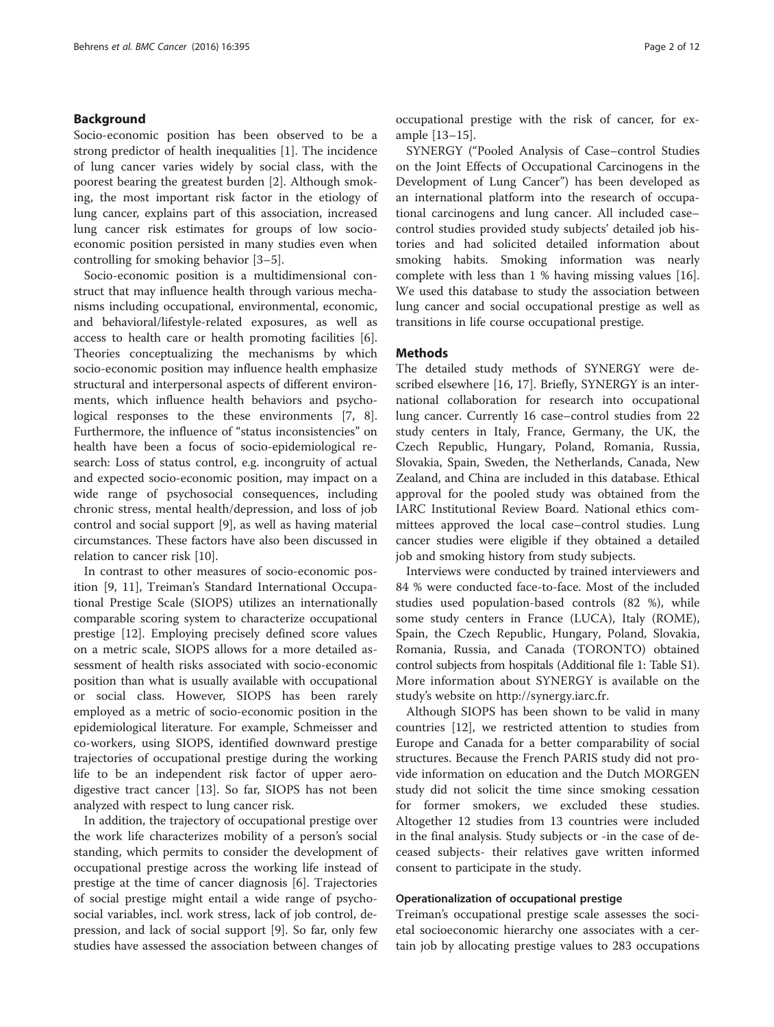# Background

Socio-economic position has been observed to be a strong predictor of health inequalities [[1\]](#page-10-0). The incidence of lung cancer varies widely by social class, with the poorest bearing the greatest burden [\[2\]](#page-10-0). Although smoking, the most important risk factor in the etiology of lung cancer, explains part of this association, increased lung cancer risk estimates for groups of low socioeconomic position persisted in many studies even when controlling for smoking behavior [[3](#page-11-0)–[5](#page-11-0)].

Socio-economic position is a multidimensional construct that may influence health through various mechanisms including occupational, environmental, economic, and behavioral/lifestyle-related exposures, as well as access to health care or health promoting facilities [\[6](#page-11-0)]. Theories conceptualizing the mechanisms by which socio-economic position may influence health emphasize structural and interpersonal aspects of different environments, which influence health behaviors and psychological responses to the these environments [\[7](#page-11-0), [8](#page-11-0)]. Furthermore, the influence of "status inconsistencies" on health have been a focus of socio-epidemiological research: Loss of status control, e.g. incongruity of actual and expected socio-economic position, may impact on a wide range of psychosocial consequences, including chronic stress, mental health/depression, and loss of job control and social support [\[9](#page-11-0)], as well as having material circumstances. These factors have also been discussed in relation to cancer risk [[10\]](#page-11-0).

In contrast to other measures of socio-economic position [[9, 11](#page-11-0)], Treiman's Standard International Occupational Prestige Scale (SIOPS) utilizes an internationally comparable scoring system to characterize occupational prestige [\[12](#page-11-0)]. Employing precisely defined score values on a metric scale, SIOPS allows for a more detailed assessment of health risks associated with socio-economic position than what is usually available with occupational or social class. However, SIOPS has been rarely employed as a metric of socio-economic position in the epidemiological literature. For example, Schmeisser and co-workers, using SIOPS, identified downward prestige trajectories of occupational prestige during the working life to be an independent risk factor of upper aerodigestive tract cancer [[13\]](#page-11-0). So far, SIOPS has not been analyzed with respect to lung cancer risk.

In addition, the trajectory of occupational prestige over the work life characterizes mobility of a person's social standing, which permits to consider the development of occupational prestige across the working life instead of prestige at the time of cancer diagnosis [[6\]](#page-11-0). Trajectories of social prestige might entail a wide range of psychosocial variables, incl. work stress, lack of job control, depression, and lack of social support [[9](#page-11-0)]. So far, only few studies have assessed the association between changes of occupational prestige with the risk of cancer, for example [[13](#page-11-0)–[15](#page-11-0)].

SYNERGY ("Pooled Analysis of Case–control Studies on the Joint Effects of Occupational Carcinogens in the Development of Lung Cancer") has been developed as an international platform into the research of occupational carcinogens and lung cancer. All included case– control studies provided study subjects' detailed job histories and had solicited detailed information about smoking habits. Smoking information was nearly complete with less than 1 % having missing values [\[16](#page-11-0)]. We used this database to study the association between lung cancer and social occupational prestige as well as transitions in life course occupational prestige.

# **Methods**

The detailed study methods of SYNERGY were described elsewhere [[16, 17\]](#page-11-0). Briefly, SYNERGY is an international collaboration for research into occupational lung cancer. Currently 16 case–control studies from 22 study centers in Italy, France, Germany, the UK, the Czech Republic, Hungary, Poland, Romania, Russia, Slovakia, Spain, Sweden, the Netherlands, Canada, New Zealand, and China are included in this database. Ethical approval for the pooled study was obtained from the IARC Institutional Review Board. National ethics committees approved the local case–control studies. Lung cancer studies were eligible if they obtained a detailed job and smoking history from study subjects.

Interviews were conducted by trained interviewers and 84 % were conducted face-to-face. Most of the included studies used population-based controls (82 %), while some study centers in France (LUCA), Italy (ROME), Spain, the Czech Republic, Hungary, Poland, Slovakia, Romania, Russia, and Canada (TORONTO) obtained control subjects from hospitals (Additional file [1](#page-10-0): Table S1). More information about SYNERGY is available on the study's website on [http://synergy.iarc.fr.](http://synergy.iarc.fr)

Although SIOPS has been shown to be valid in many countries [[12\]](#page-11-0), we restricted attention to studies from Europe and Canada for a better comparability of social structures. Because the French PARIS study did not provide information on education and the Dutch MORGEN study did not solicit the time since smoking cessation for former smokers, we excluded these studies. Altogether 12 studies from 13 countries were included in the final analysis. Study subjects or -in the case of deceased subjects- their relatives gave written informed consent to participate in the study.

# Operationalization of occupational prestige

Treiman's occupational prestige scale assesses the societal socioeconomic hierarchy one associates with a certain job by allocating prestige values to 283 occupations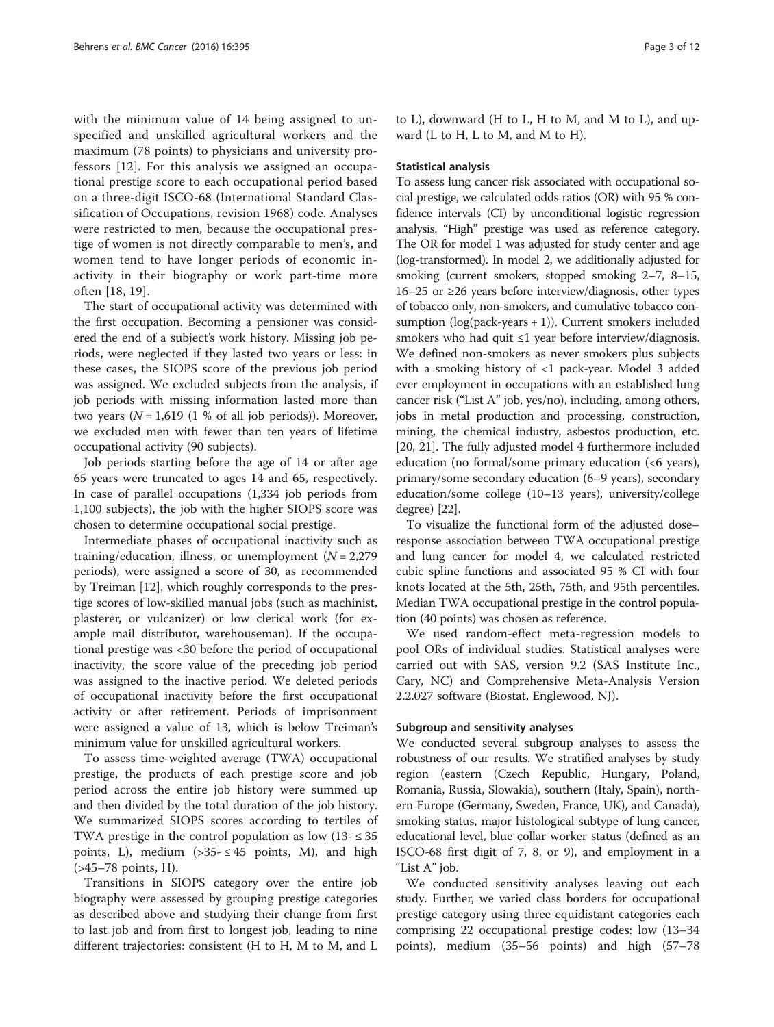with the minimum value of 14 being assigned to unspecified and unskilled agricultural workers and the maximum (78 points) to physicians and university professors [[12\]](#page-11-0). For this analysis we assigned an occupational prestige score to each occupational period based on a three-digit ISCO-68 (International Standard Classification of Occupations, revision 1968) code. Analyses were restricted to men, because the occupational prestige of women is not directly comparable to men's, and women tend to have longer periods of economic inactivity in their biography or work part-time more often [\[18, 19\]](#page-11-0).

The start of occupational activity was determined with the first occupation. Becoming a pensioner was considered the end of a subject's work history. Missing job periods, were neglected if they lasted two years or less: in these cases, the SIOPS score of the previous job period was assigned. We excluded subjects from the analysis, if job periods with missing information lasted more than two years ( $N = 1,619$  (1 % of all job periods)). Moreover, we excluded men with fewer than ten years of lifetime occupational activity (90 subjects).

Job periods starting before the age of 14 or after age 65 years were truncated to ages 14 and 65, respectively. In case of parallel occupations (1,334 job periods from 1,100 subjects), the job with the higher SIOPS score was chosen to determine occupational social prestige.

Intermediate phases of occupational inactivity such as training/education, illness, or unemployment  $(N = 2,279)$ periods), were assigned a score of 30, as recommended by Treiman [\[12](#page-11-0)], which roughly corresponds to the prestige scores of low-skilled manual jobs (such as machinist, plasterer, or vulcanizer) or low clerical work (for example mail distributor, warehouseman). If the occupational prestige was <30 before the period of occupational inactivity, the score value of the preceding job period was assigned to the inactive period. We deleted periods of occupational inactivity before the first occupational activity or after retirement. Periods of imprisonment were assigned a value of 13, which is below Treiman's minimum value for unskilled agricultural workers.

To assess time-weighted average (TWA) occupational prestige, the products of each prestige score and job period across the entire job history were summed up and then divided by the total duration of the job history. We summarized SIOPS scores according to tertiles of TWA prestige in the control population as low  $(13 - \leq 35)$ points, L), medium  $(>35 \leq 45$  points, M), and high  $($ >45–78 points, H $)$ .

Transitions in SIOPS category over the entire job biography were assessed by grouping prestige categories as described above and studying their change from first to last job and from first to longest job, leading to nine different trajectories: consistent (H to H, M to M, and L

to L), downward (H to L, H to M, and M to L), and upward (L to H, L to M, and M to H).

# Statistical analysis

To assess lung cancer risk associated with occupational social prestige, we calculated odds ratios (OR) with 95 % confidence intervals (CI) by unconditional logistic regression analysis. "High" prestige was used as reference category. The OR for model 1 was adjusted for study center and age (log-transformed). In model 2, we additionally adjusted for smoking (current smokers, stopped smoking 2–7, 8–15, 16–25 or ≥26 years before interview/diagnosis, other types of tobacco only, non-smokers, and cumulative tobacco consumption  $(log(pack-years + 1))$ . Current smokers included smokers who had quit ≤1 year before interview/diagnosis. We defined non-smokers as never smokers plus subjects with a smoking history of <1 pack-year. Model 3 added ever employment in occupations with an established lung cancer risk ("List A" job, yes/no), including, among others, jobs in metal production and processing, construction, mining, the chemical industry, asbestos production, etc. [[20](#page-11-0), [21](#page-11-0)]. The fully adjusted model 4 furthermore included education (no formal/some primary education (<6 years), primary/some secondary education (6–9 years), secondary education/some college (10–13 years), university/college degree) [[22](#page-11-0)].

To visualize the functional form of the adjusted dose– response association between TWA occupational prestige and lung cancer for model 4, we calculated restricted cubic spline functions and associated 95 % CI with four knots located at the 5th, 25th, 75th, and 95th percentiles. Median TWA occupational prestige in the control population (40 points) was chosen as reference.

We used random-effect meta-regression models to pool ORs of individual studies. Statistical analyses were carried out with SAS, version 9.2 (SAS Institute Inc., Cary, NC) and Comprehensive Meta-Analysis Version 2.2.027 software (Biostat, Englewood, NJ).

# Subgroup and sensitivity analyses

We conducted several subgroup analyses to assess the robustness of our results. We stratified analyses by study region (eastern (Czech Republic, Hungary, Poland, Romania, Russia, Slowakia), southern (Italy, Spain), northern Europe (Germany, Sweden, France, UK), and Canada), smoking status, major histological subtype of lung cancer, educational level, blue collar worker status (defined as an ISCO-68 first digit of 7, 8, or 9), and employment in a "List A" job.

We conducted sensitivity analyses leaving out each study. Further, we varied class borders for occupational prestige category using three equidistant categories each comprising 22 occupational prestige codes: low (13–34 points), medium (35–56 points) and high (57–78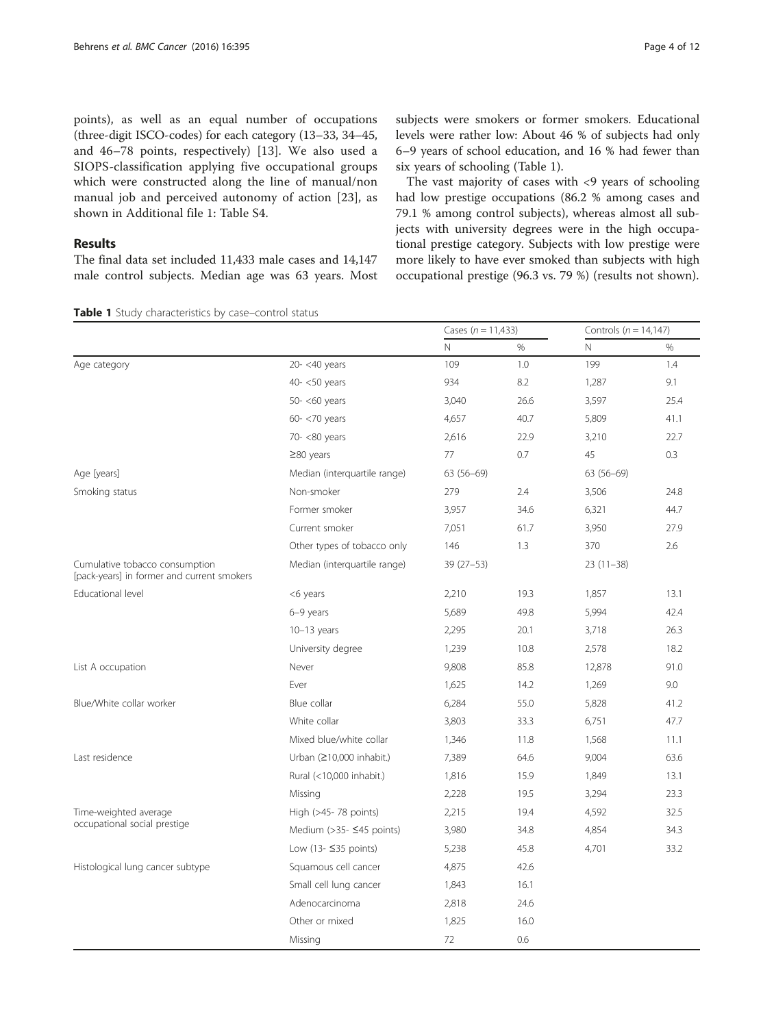points), as well as an equal number of occupations (three-digit ISCO-codes) for each category (13–33, 34–45, and 46–78 points, respectively) [\[13](#page-11-0)]. We also used a SIOPS-classification applying five occupational groups which were constructed along the line of manual/non manual job and perceived autonomy of action [[23\]](#page-11-0), as shown in Additional file [1](#page-10-0): Table S4.

# Results

The final data set included 11,433 male cases and 14,147 male control subjects. Median age was 63 years. Most subjects were smokers or former smokers. Educational levels were rather low: About 46 % of subjects had only 6–9 years of school education, and 16 % had fewer than six years of schooling (Table 1).

The vast majority of cases with <9 years of schooling had low prestige occupations (86.2 % among cases and 79.1 % among control subjects), whereas almost all subjects with university degrees were in the high occupational prestige category. Subjects with low prestige were more likely to have ever smoked than subjects with high occupational prestige (96.3 vs. 79 %) (results not shown).

| <b>Table 1</b> Study characteristics by case-control status |  |
|-------------------------------------------------------------|--|
|-------------------------------------------------------------|--|

|                                                                              |                              | Cases ( $n = 11,433$ ) |               | Controls ( $n = 14,147$ ) |      |
|------------------------------------------------------------------------------|------------------------------|------------------------|---------------|---------------------------|------|
|                                                                              |                              | N                      | $\frac{0}{0}$ | $\mathbb N$               | $\%$ |
| Age category                                                                 | $20 - < 40$ years            | 109                    | 1.0           | 199                       | 1.4  |
|                                                                              | 40- $<$ 50 years             | 934                    | 8.2           | 1,287                     | 9.1  |
|                                                                              | $50 - 60$ years              | 3,040                  | 26.6          | 3,597                     | 25.4 |
|                                                                              | $60-70$ years                | 4,657                  | 40.7          | 5,809                     | 41.1 |
|                                                                              | 70- <80 years                | 2,616                  | 22.9          | 3,210                     | 22.7 |
|                                                                              | $\geq$ 80 years              | 77                     | 0.7           | 45                        | 0.3  |
| Age [years]                                                                  | Median (interquartile range) | 63 (56-69)             |               | 63 (56-69)                |      |
| Smoking status                                                               | Non-smoker                   | 279                    | 2.4           | 3,506                     | 24.8 |
|                                                                              | Former smoker                | 3,957                  | 34.6          | 6,321                     | 44.7 |
|                                                                              | Current smoker               | 7,051                  | 61.7          | 3,950                     | 27.9 |
|                                                                              | Other types of tobacco only  | 146                    | 1.3           | 370                       | 2.6  |
| Cumulative tobacco consumption<br>[pack-years] in former and current smokers | Median (interquartile range) | $39(27-53)$            |               | $23(11-38)$               |      |
| Educational level                                                            | <6 years                     | 2,210                  | 19.3          | 1,857                     | 13.1 |
|                                                                              | 6-9 years                    | 5,689                  | 49.8          | 5,994                     | 42.4 |
|                                                                              | $10-13$ years                | 2,295                  | 20.1          | 3,718                     | 26.3 |
|                                                                              | University degree            | 1,239                  | 10.8          | 2,578                     | 18.2 |
| List A occupation                                                            | Never                        | 9,808                  | 85.8          | 12,878                    | 91.0 |
|                                                                              | Ever                         | 1,625                  | 14.2          | 1,269                     | 9.0  |
| Blue/White collar worker                                                     | Blue collar                  | 6,284                  | 55.0          | 5,828                     | 41.2 |
|                                                                              | White collar                 | 3,803                  | 33.3          | 6,751                     | 47.7 |
|                                                                              | Mixed blue/white collar      | 1,346                  | 11.8          | 1,568                     | 11.1 |
| Last residence                                                               | Urban $(210,000$ inhabit.)   | 7,389                  | 64.6          | 9,004                     | 63.6 |
|                                                                              | Rural (<10,000 inhabit.)     | 1,816                  | 15.9          | 1,849                     | 13.1 |
|                                                                              | Missing                      | 2,228                  | 19.5          | 3,294                     | 23.3 |
| Time-weighted average                                                        | High (>45-78 points)         | 2,215                  | 19.4          | 4,592                     | 32.5 |
| occupational social prestige                                                 | Medium (>35- ≤45 points)     | 3,980                  | 34.8          | 4,854                     | 34.3 |
|                                                                              | Low (13- $\leq$ 35 points)   | 5,238                  | 45.8          | 4,701                     | 33.2 |
| Histological lung cancer subtype                                             | Squamous cell cancer         | 4,875                  | 42.6          |                           |      |
|                                                                              | Small cell lung cancer       | 1,843                  | 16.1          |                           |      |
|                                                                              | Adenocarcinoma               | 2,818                  | 24.6          |                           |      |
|                                                                              | Other or mixed               | 1,825                  | 16.0          |                           |      |
|                                                                              | Missing                      | 72                     | 0.6           |                           |      |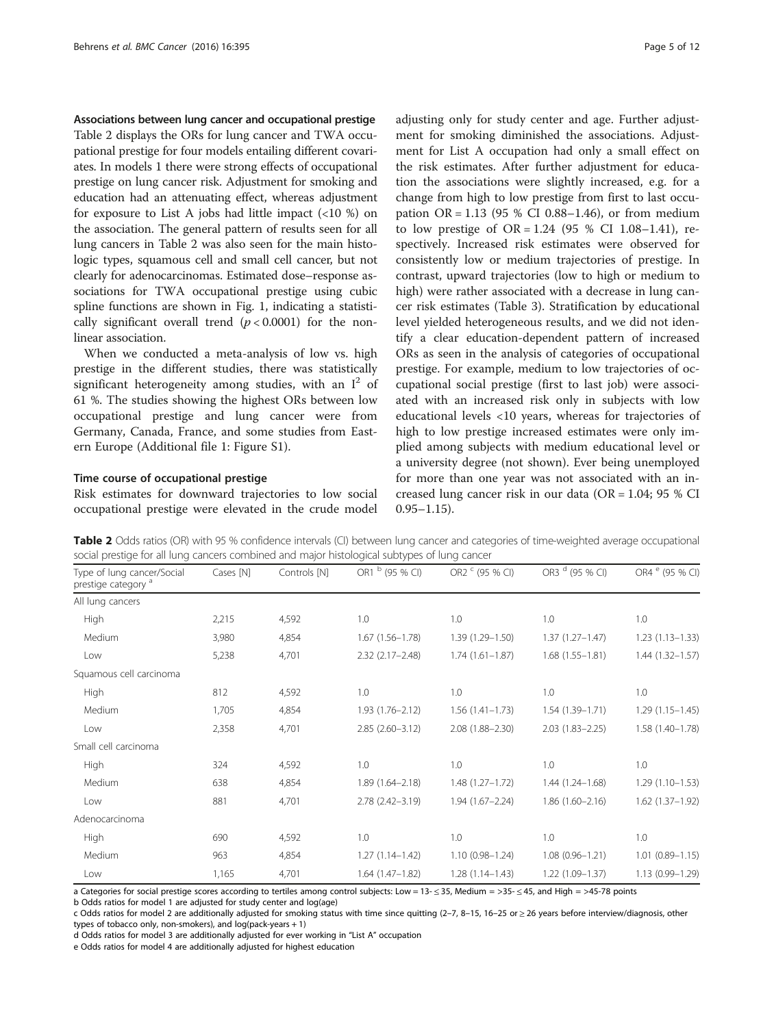Associations between lung cancer and occupational prestige

Table 2 displays the ORs for lung cancer and TWA occupational prestige for four models entailing different covariates. In models 1 there were strong effects of occupational prestige on lung cancer risk. Adjustment for smoking and education had an attenuating effect, whereas adjustment for exposure to List A jobs had little impact  $(\langle 10 \rangle 8)$  on the association. The general pattern of results seen for all lung cancers in Table 2 was also seen for the main histologic types, squamous cell and small cell cancer, but not clearly for adenocarcinomas. Estimated dose–response associations for TWA occupational prestige using cubic spline functions are shown in Fig. [1](#page-5-0), indicating a statistically significant overall trend  $(p < 0.0001)$  for the nonlinear association.

When we conducted a meta-analysis of low vs. high prestige in the different studies, there was statistically significant heterogeneity among studies, with an  $I^2$  of 61 %. The studies showing the highest ORs between low occupational prestige and lung cancer were from Germany, Canada, France, and some studies from Eastern Europe (Additional file [1:](#page-10-0) Figure S1).

# Time course of occupational prestige

Risk estimates for downward trajectories to low social occupational prestige were elevated in the crude model

adjusting only for study center and age. Further adjustment for smoking diminished the associations. Adjustment for List A occupation had only a small effect on the risk estimates. After further adjustment for education the associations were slightly increased, e.g. for a change from high to low prestige from first to last occupation OR = 1.13 (95 % CI 0.88–1.46), or from medium to low prestige of  $OR = 1.24$  (95 % CI 1.08–1.41), respectively. Increased risk estimates were observed for consistently low or medium trajectories of prestige. In contrast, upward trajectories (low to high or medium to high) were rather associated with a decrease in lung cancer risk estimates (Table [3\)](#page-6-0). Stratification by educational level yielded heterogeneous results, and we did not identify a clear education-dependent pattern of increased ORs as seen in the analysis of categories of occupational prestige. For example, medium to low trajectories of occupational social prestige (first to last job) were associated with an increased risk only in subjects with low educational levels <10 years, whereas for trajectories of high to low prestige increased estimates were only implied among subjects with medium educational level or a university degree (not shown). Ever being unemployed for more than one year was not associated with an increased lung cancer risk in our data (OR = 1.04; 95 % CI  $0.95 - 1.15$ .

Table 2 Odds ratios (OR) with 95 % confidence intervals (CI) between lung cancer and categories of time-weighted average occupational social prestige for all lung cancers combined and major histological subtypes of lung cancer

| שטכומו prestige for all larig caricers compliced and major mstological subtypes or larig cancer |           |              |                            |                            |                            |                            |
|-------------------------------------------------------------------------------------------------|-----------|--------------|----------------------------|----------------------------|----------------------------|----------------------------|
| Type of lung cancer/Social<br>prestige category <sup>a</sup>                                    | Cases [N] | Controls [N] | OR1 <sup>b</sup> (95 % CI) | OR2 <sup>c</sup> (95 % CI) | OR3 <sup>d</sup> (95 % CI) | OR4 <sup>e</sup> (95 % CI) |
| All lung cancers                                                                                |           |              |                            |                            |                            |                            |
| High                                                                                            | 2,215     | 4,592        | 1.0                        | 1.0                        | 1.0                        | 1.0                        |
| Medium                                                                                          | 3,980     | 4,854        | $1.67(1.56 - 1.78)$        | 1.39 (1.29-1.50)           | $1.37(1.27 - 1.47)$        | $1.23(1.13 - 1.33)$        |
| Low                                                                                             | 5,238     | 4,701        | $2.32(2.17 - 2.48)$        | $1.74(1.61 - 1.87)$        | $1.68(1.55 - 1.81)$        | $1.44(1.32 - 1.57)$        |
| Squamous cell carcinoma                                                                         |           |              |                            |                            |                            |                            |
| High                                                                                            | 812       | 4,592        | 1.0                        | 1.0                        | 1.0                        | 1.0                        |
| Medium                                                                                          | 1,705     | 4,854        | $1.93(1.76 - 2.12)$        | $1.56(1.41-1.73)$          | $1.54(1.39 - 1.71)$        | $1.29(1.15 - 1.45)$        |
| Low                                                                                             | 2,358     | 4,701        | $2.85(2.60-3.12)$          | 2.08 (1.88-2.30)           | $2.03(1.83 - 2.25)$        | $1.58(1.40 - 1.78)$        |
| Small cell carcinoma                                                                            |           |              |                            |                            |                            |                            |
| High                                                                                            | 324       | 4,592        | 1.0                        | 1.0                        | 1.0                        | 1.0                        |
| Medium                                                                                          | 638       | 4,854        | $1.89(1.64 - 2.18)$        | $1.48(1.27 - 1.72)$        | $1.44(1.24 - 1.68)$        | $1.29(1.10-1.53)$          |
| Low                                                                                             | 881       | 4,701        | $2.78(2.42 - 3.19)$        | $1.94(1.67 - 2.24)$        | $1.86(1.60 - 2.16)$        | $1.62(1.37 - 1.92)$        |
| Adenocarcinoma                                                                                  |           |              |                            |                            |                            |                            |
| High                                                                                            | 690       | 4,592        | 1.0                        | 1.0                        | 1.0                        | 1.0                        |
| Medium                                                                                          | 963       | 4,854        | $1.27(1.14-1.42)$          | $1.10(0.98 - 1.24)$        | $1.08(0.96 - 1.21)$        | $1.01(0.89 - 1.15)$        |
| Low                                                                                             | 1,165     | 4,701        | $1.64(1.47-1.82)$          | $1.28(1.14 - 1.43)$        | $1.22(1.09 - 1.37)$        | 1.13 (0.99-1.29)           |

a Categories for social prestige scores according to tertiles among control subjects: Low = 13- ≤ 35, Medium = >35- ≤ 45, and High = >45-78 points

b Odds ratios for model 1 are adjusted for study center and log(age)

c Odds ratios for model 2 are additionally adjusted for smoking status with time since quitting (2–7, 8–15, 16–25 or ≥ 26 years before interview/diagnosis, other types of tobacco only, non-smokers), and  $log(pack-years + 1)$ 

d Odds ratios for model 3 are additionally adjusted for ever working in "List A" occupation

e Odds ratios for model 4 are additionally adjusted for highest education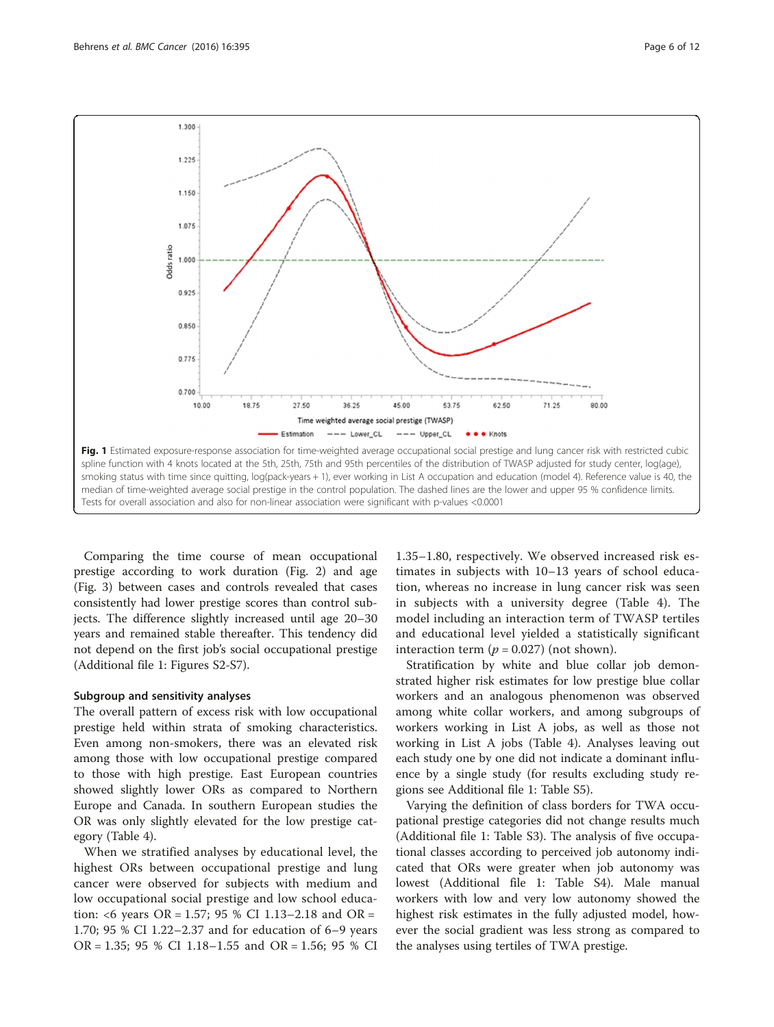<span id="page-5-0"></span>

Comparing the time course of mean occupational prestige according to work duration (Fig. [2\)](#page-6-0) and age (Fig. [3\)](#page-6-0) between cases and controls revealed that cases consistently had lower prestige scores than control subjects. The difference slightly increased until age 20–30 years and remained stable thereafter. This tendency did not depend on the first job's social occupational prestige (Additional file [1](#page-10-0): Figures S2-S7).

# Subgroup and sensitivity analyses

The overall pattern of excess risk with low occupational prestige held within strata of smoking characteristics. Even among non-smokers, there was an elevated risk among those with low occupational prestige compared to those with high prestige. East European countries showed slightly lower ORs as compared to Northern Europe and Canada. In southern European studies the OR was only slightly elevated for the low prestige category (Table [4](#page-7-0)).

When we stratified analyses by educational level, the highest ORs between occupational prestige and lung cancer were observed for subjects with medium and low occupational social prestige and low school education: <6 years OR = 1.57; 95 % CI 1.13–2.18 and OR = 1.70; 95 % CI 1.22–2.37 and for education of 6–9 years OR = 1.35; 95 % CI 1.18–1.55 and OR = 1.56; 95 % CI

1.35–1.80, respectively. We observed increased risk estimates in subjects with 10–13 years of school education, whereas no increase in lung cancer risk was seen in subjects with a university degree (Table [4\)](#page-7-0). The model including an interaction term of TWASP tertiles and educational level yielded a statistically significant interaction term ( $p = 0.027$ ) (not shown).

Stratification by white and blue collar job demonstrated higher risk estimates for low prestige blue collar workers and an analogous phenomenon was observed among white collar workers, and among subgroups of workers working in List A jobs, as well as those not working in List A jobs (Table [4\)](#page-7-0). Analyses leaving out each study one by one did not indicate a dominant influence by a single study (for results excluding study regions see Additional file [1](#page-10-0): Table S5).

Varying the definition of class borders for TWA occupational prestige categories did not change results much (Additional file [1:](#page-10-0) Table S3). The analysis of five occupational classes according to perceived job autonomy indicated that ORs were greater when job autonomy was lowest (Additional file [1](#page-10-0): Table S4). Male manual workers with low and very low autonomy showed the highest risk estimates in the fully adjusted model, however the social gradient was less strong as compared to the analyses using tertiles of TWA prestige.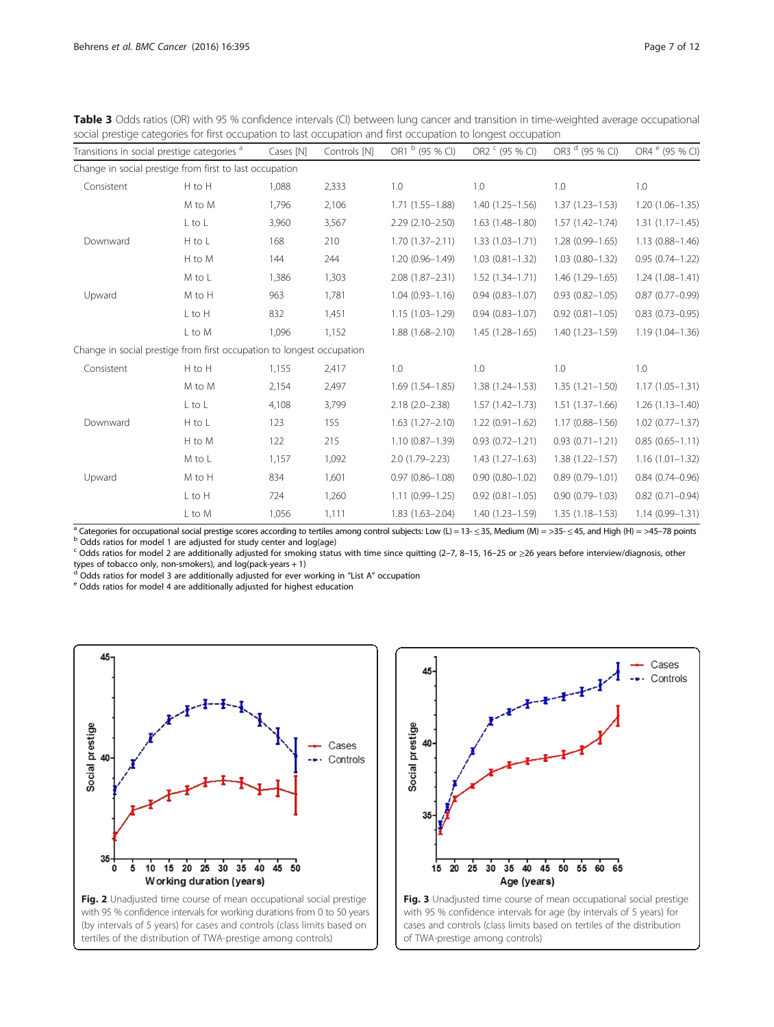<span id="page-6-0"></span>Table 3 Odds ratios (OR) with 95 % confidence intervals (CI) between lung cancer and transition in time-weighted average occupational social prestige categories for first occupation to last occupation and first occupation to longest occupation

|            | Transitions in social prestige categories <sup>a</sup>                | Cases [N] | Controls [N] | OR1 <sup>b</sup> (95 % CI) | OR2 <sup>c</sup> (95 % CI) | OR3 <sup>d</sup> (95 % CI) | OR4 <sup>e</sup> (95 % CI) |
|------------|-----------------------------------------------------------------------|-----------|--------------|----------------------------|----------------------------|----------------------------|----------------------------|
|            | Change in social prestige from first to last occupation               |           |              |                            |                            |                            |                            |
| Consistent | H to H                                                                | 1,088     | 2,333        | 1.0                        | 1.0                        | 1.0                        | 1.0                        |
|            | M to M                                                                | 1,796     | 2,106        | $1.71(1.55 - 1.88)$        | $1.40(1.25 - 1.56)$        | $1.37(1.23 - 1.53)$        | $1.20(1.06 - 1.35)$        |
|            | L to L                                                                | 3,960     | 3,567        | $2.29(2.10 - 2.50)$        | $1.63(1.48-1.80)$          | $1.57(1.42 - 1.74)$        | $1.31(1.17 - 1.45)$        |
| Downward   | H to L                                                                | 168       | 210          | $1.70(1.37 - 2.11)$        | $1.33(1.03 - 1.71)$        | $1.28(0.99 - 1.65)$        | $1.13(0.88 - 1.46)$        |
|            | H to M                                                                | 144       | 244          | $1.20(0.96 - 1.49)$        | $1.03(0.81 - 1.32)$        | $1.03(0.80 - 1.32)$        | $0.95(0.74 - 1.22)$        |
|            | M to L                                                                | 1,386     | 1,303        | $2.08(1.87 - 2.31)$        | $1.52(1.34 - 1.71)$        | $1.46(1.29 - 1.65)$        | $1.24(1.08 - 1.41)$        |
| Upward     | M to H                                                                | 963       | 1,781        | $1.04(0.93 - 1.16)$        | $0.94(0.83 - 1.07)$        | $0.93(0.82 - 1.05)$        | $0.87(0.77 - 0.99)$        |
|            | L to H                                                                | 832       | 1,451        | $1.15(1.03 - 1.29)$        | $0.94(0.83 - 1.07)$        | $0.92(0.81 - 1.05)$        | $0.83(0.73 - 0.95)$        |
|            | L to M                                                                | 1,096     | 1,152        | $1.88(1.68 - 2.10)$        | $1.45(1.28 - 1.65)$        | $1.40(1.23 - 1.59)$        | $1.19(1.04 - 1.36)$        |
|            | Change in social prestige from first occupation to longest occupation |           |              |                            |                            |                            |                            |
| Consistent | H to H                                                                | 1,155     | 2,417        | 1.0                        | 1.0                        | 1.0                        | 1.0                        |
|            | M to M                                                                | 2,154     | 2,497        | $1.69(1.54 - 1.85)$        | $1.38(1.24 - 1.53)$        | $1.35(1.21 - 1.50)$        | $1.17(1.05 - 1.31)$        |
|            | L to L                                                                | 4,108     | 3,799        | $2.18(2.0 - 2.38)$         | $1.57(1.42 - 1.73)$        | $1.51(1.37-1.66)$          | $1.26(1.13 - 1.40)$        |
| Downward   | H to L                                                                | 123       | 155          | $1.63(1.27 - 2.10)$        | $1.22(0.91 - 1.62)$        | $1.17(0.88 - 1.56)$        | $1.02(0.77 - 1.37)$        |
|            | H to M                                                                | 122       | 215          | $1.10(0.87 - 1.39)$        | $0.93(0.72 - 1.21)$        | $0.93(0.71 - 1.21)$        | $0.85(0.65 - 1.11)$        |
|            | M to L                                                                | 1,157     | 1,092        | $2.0(1.79 - 2.23)$         | $1.43(1.27-1.63)$          | $1.38(1.22 - 1.57)$        | $1.16(1.01 - 1.32)$        |
| Upward     | M to H                                                                | 834       | 1,601        | $0.97(0.86 - 1.08)$        | $0.90(0.80 - 1.02)$        | $0.89(0.79 - 1.01)$        | $0.84(0.74 - 0.96)$        |
|            | L to H                                                                | 724       | 1,260        | $1.11(0.99 - 1.25)$        | $0.92(0.81 - 1.05)$        | $0.90(0.79 - 1.03)$        | $0.82(0.71 - 0.94)$        |
|            | L to M                                                                | 1,056     | 1,111        | $1.83(1.63 - 2.04)$        | $1.40(1.23 - 1.59)$        | $1.35(1.18 - 1.53)$        | $1.14(0.99 - 1.31)$        |

<sup>a</sup> Categories for occupational social prestige scores according to tertiles among control subjects: Low (L) = 13-  $\leq$  35, Medium (M) = >35-  $\leq$  45, and High (H) = >45–78 points b Odds ratios for model 1 are adjusted

 $\degree$  Odds ratios for model 2 are additionally adjusted for smoking status with time since quitting (2–7, 8–15, 16–25 or  $\geq$ 26 years before interview/diagnosis, other

types of tobacco only, non-smokers), and log(pack-years + 1)<br><sup>d</sup> Odds ratios for model 3 are additionally adjusted for ever working in "List A" occupation<br><sup>e</sup> Odds ratios for model 4 are additionally adjusted for highest e







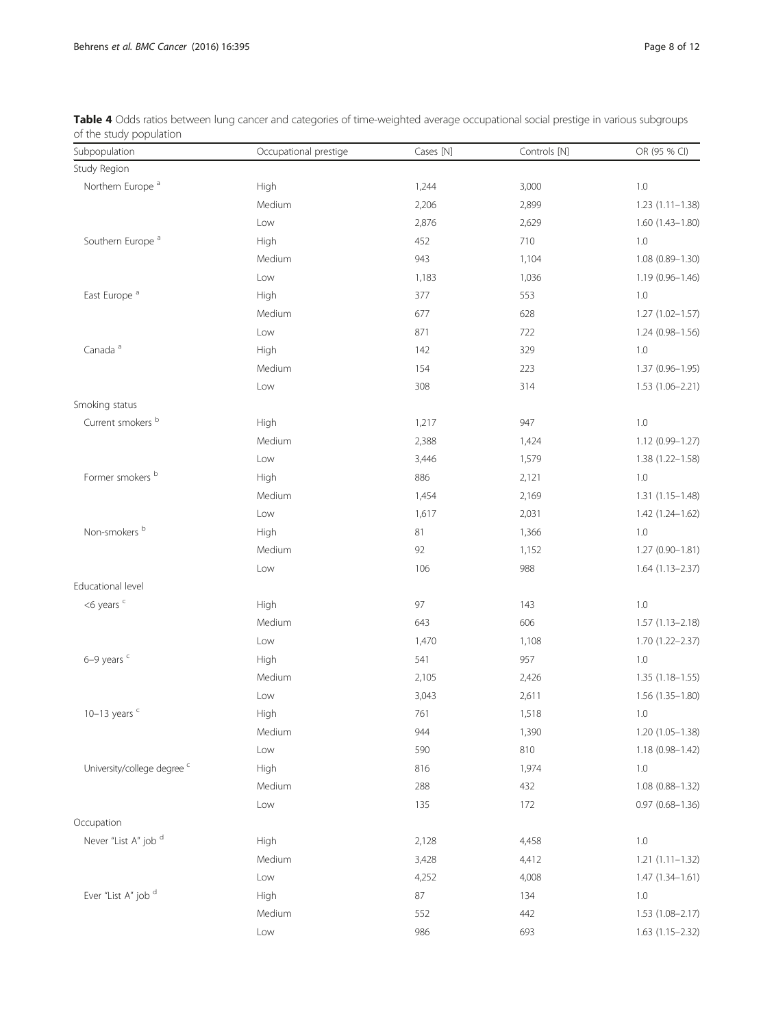<span id="page-7-0"></span>Table 4 Odds ratios between lung cancer and categories of time-weighted average occupational social prestige in various subgroups of the study population

| Study Region<br>Northern Europe <sup>a</sup><br>1.0<br>High<br>1,244<br>3,000<br>Medium<br>2,206<br>2,899<br>Low<br>2,876<br>2,629<br>Southern Europe <sup>a</sup><br>452<br>710<br>$1.0\,$<br>High<br>Medium<br>943<br>1,104<br>Low<br>1,183<br>1,036<br>East Europe <sup>a</sup><br>$1.0\,$<br>High<br>377<br>553<br>Medium<br>677<br>628<br>871<br>Low<br>722<br>Canada <sup>a</sup><br>$1.0\,$<br>High<br>142<br>329<br>Medium<br>154<br>223<br>308<br>Low<br>314<br>Smoking status<br>Current smokers <sup>b</sup><br>$1.0\,$<br>High<br>1,217<br>947<br>Medium<br>2,388<br>1,424<br>Low<br>3,446<br>1,579<br>Former smokers <sup>b</sup><br>886<br>$1.0\,$<br>High<br>2,121<br>Medium<br>1,454<br>2,169<br>$1.31(1.15 - 1.48)$<br>Low<br>1,617<br>2,031<br>Non-smokers <sup>b</sup><br>$1.0\,$<br>High<br>81<br>1,366<br>Medium<br>92<br>1.27 (0.90-1.81)<br>1,152<br>Low<br>106<br>988<br>Educational level<br><6 years c<br>97<br>1.0<br>High<br>143<br>Medium<br>643<br>606<br>Low<br>1,470<br>1,108<br>6-9 years c<br>541<br>957<br>1.0<br>High<br>Medium<br>2,105<br>2,426<br>3,043<br>2,611<br>1.56 (1.35-1.80)<br>Low<br>$10-13$ years $C$<br>High<br>761<br>1.0<br>1,518<br>Medium<br>944<br>1,390<br>810<br>Low<br>590<br>University/college degree <sup>c</sup><br>High<br>816<br>1,974<br>1.0<br>Medium<br>288<br>432<br>1.08 (0.88-1.32)<br>135<br>172<br>$0.97$ $(0.68 - 1.36)$<br>Low<br>Occupation<br>Never "List A" job d<br>High<br>2,128<br>1.0<br>4,458<br>Medium<br>3,428<br>4,412<br>$1.21(1.11 - 1.32)$<br>Low<br>4,252<br>4,008<br>1.47 (1.34-1.61)<br>Ever "List A" job d<br>High<br>87<br>$1.0\,$<br>134<br>Medium<br>552<br>442<br>1.53 (1.08-2.17)<br>Low<br>986<br>693 | Subpopulation | Occupational prestige | Cases [N] | Controls [N] | OR (95 % CI)        |
|----------------------------------------------------------------------------------------------------------------------------------------------------------------------------------------------------------------------------------------------------------------------------------------------------------------------------------------------------------------------------------------------------------------------------------------------------------------------------------------------------------------------------------------------------------------------------------------------------------------------------------------------------------------------------------------------------------------------------------------------------------------------------------------------------------------------------------------------------------------------------------------------------------------------------------------------------------------------------------------------------------------------------------------------------------------------------------------------------------------------------------------------------------------------------------------------------------------------------------------------------------------------------------------------------------------------------------------------------------------------------------------------------------------------------------------------------------------------------------------------------------------------------------------------------------------------------------------------------------------------------------------------------------------------------------------------------------|---------------|-----------------------|-----------|--------------|---------------------|
|                                                                                                                                                                                                                                                                                                                                                                                                                                                                                                                                                                                                                                                                                                                                                                                                                                                                                                                                                                                                                                                                                                                                                                                                                                                                                                                                                                                                                                                                                                                                                                                                                                                                                                          |               |                       |           |              |                     |
|                                                                                                                                                                                                                                                                                                                                                                                                                                                                                                                                                                                                                                                                                                                                                                                                                                                                                                                                                                                                                                                                                                                                                                                                                                                                                                                                                                                                                                                                                                                                                                                                                                                                                                          |               |                       |           |              |                     |
|                                                                                                                                                                                                                                                                                                                                                                                                                                                                                                                                                                                                                                                                                                                                                                                                                                                                                                                                                                                                                                                                                                                                                                                                                                                                                                                                                                                                                                                                                                                                                                                                                                                                                                          |               |                       |           |              | $1.23(1.11 - 1.38)$ |
|                                                                                                                                                                                                                                                                                                                                                                                                                                                                                                                                                                                                                                                                                                                                                                                                                                                                                                                                                                                                                                                                                                                                                                                                                                                                                                                                                                                                                                                                                                                                                                                                                                                                                                          |               |                       |           |              | 1.60 (1.43-1.80)    |
|                                                                                                                                                                                                                                                                                                                                                                                                                                                                                                                                                                                                                                                                                                                                                                                                                                                                                                                                                                                                                                                                                                                                                                                                                                                                                                                                                                                                                                                                                                                                                                                                                                                                                                          |               |                       |           |              |                     |
|                                                                                                                                                                                                                                                                                                                                                                                                                                                                                                                                                                                                                                                                                                                                                                                                                                                                                                                                                                                                                                                                                                                                                                                                                                                                                                                                                                                                                                                                                                                                                                                                                                                                                                          |               |                       |           |              | 1.08 (0.89-1.30)    |
|                                                                                                                                                                                                                                                                                                                                                                                                                                                                                                                                                                                                                                                                                                                                                                                                                                                                                                                                                                                                                                                                                                                                                                                                                                                                                                                                                                                                                                                                                                                                                                                                                                                                                                          |               |                       |           |              | 1.19 (0.96-1.46)    |
|                                                                                                                                                                                                                                                                                                                                                                                                                                                                                                                                                                                                                                                                                                                                                                                                                                                                                                                                                                                                                                                                                                                                                                                                                                                                                                                                                                                                                                                                                                                                                                                                                                                                                                          |               |                       |           |              |                     |
|                                                                                                                                                                                                                                                                                                                                                                                                                                                                                                                                                                                                                                                                                                                                                                                                                                                                                                                                                                                                                                                                                                                                                                                                                                                                                                                                                                                                                                                                                                                                                                                                                                                                                                          |               |                       |           |              | 1.27 (1.02-1.57)    |
|                                                                                                                                                                                                                                                                                                                                                                                                                                                                                                                                                                                                                                                                                                                                                                                                                                                                                                                                                                                                                                                                                                                                                                                                                                                                                                                                                                                                                                                                                                                                                                                                                                                                                                          |               |                       |           |              | 1.24 (0.98-1.56)    |
|                                                                                                                                                                                                                                                                                                                                                                                                                                                                                                                                                                                                                                                                                                                                                                                                                                                                                                                                                                                                                                                                                                                                                                                                                                                                                                                                                                                                                                                                                                                                                                                                                                                                                                          |               |                       |           |              |                     |
|                                                                                                                                                                                                                                                                                                                                                                                                                                                                                                                                                                                                                                                                                                                                                                                                                                                                                                                                                                                                                                                                                                                                                                                                                                                                                                                                                                                                                                                                                                                                                                                                                                                                                                          |               |                       |           |              | 1.37 (0.96-1.95)    |
|                                                                                                                                                                                                                                                                                                                                                                                                                                                                                                                                                                                                                                                                                                                                                                                                                                                                                                                                                                                                                                                                                                                                                                                                                                                                                                                                                                                                                                                                                                                                                                                                                                                                                                          |               |                       |           |              | 1.53 (1.06-2.21)    |
|                                                                                                                                                                                                                                                                                                                                                                                                                                                                                                                                                                                                                                                                                                                                                                                                                                                                                                                                                                                                                                                                                                                                                                                                                                                                                                                                                                                                                                                                                                                                                                                                                                                                                                          |               |                       |           |              |                     |
|                                                                                                                                                                                                                                                                                                                                                                                                                                                                                                                                                                                                                                                                                                                                                                                                                                                                                                                                                                                                                                                                                                                                                                                                                                                                                                                                                                                                                                                                                                                                                                                                                                                                                                          |               |                       |           |              |                     |
|                                                                                                                                                                                                                                                                                                                                                                                                                                                                                                                                                                                                                                                                                                                                                                                                                                                                                                                                                                                                                                                                                                                                                                                                                                                                                                                                                                                                                                                                                                                                                                                                                                                                                                          |               |                       |           |              | 1.12 (0.99-1.27)    |
|                                                                                                                                                                                                                                                                                                                                                                                                                                                                                                                                                                                                                                                                                                                                                                                                                                                                                                                                                                                                                                                                                                                                                                                                                                                                                                                                                                                                                                                                                                                                                                                                                                                                                                          |               |                       |           |              | 1.38 (1.22-1.58)    |
|                                                                                                                                                                                                                                                                                                                                                                                                                                                                                                                                                                                                                                                                                                                                                                                                                                                                                                                                                                                                                                                                                                                                                                                                                                                                                                                                                                                                                                                                                                                                                                                                                                                                                                          |               |                       |           |              |                     |
|                                                                                                                                                                                                                                                                                                                                                                                                                                                                                                                                                                                                                                                                                                                                                                                                                                                                                                                                                                                                                                                                                                                                                                                                                                                                                                                                                                                                                                                                                                                                                                                                                                                                                                          |               |                       |           |              |                     |
|                                                                                                                                                                                                                                                                                                                                                                                                                                                                                                                                                                                                                                                                                                                                                                                                                                                                                                                                                                                                                                                                                                                                                                                                                                                                                                                                                                                                                                                                                                                                                                                                                                                                                                          |               |                       |           |              | 1.42 (1.24-1.62)    |
|                                                                                                                                                                                                                                                                                                                                                                                                                                                                                                                                                                                                                                                                                                                                                                                                                                                                                                                                                                                                                                                                                                                                                                                                                                                                                                                                                                                                                                                                                                                                                                                                                                                                                                          |               |                       |           |              |                     |
|                                                                                                                                                                                                                                                                                                                                                                                                                                                                                                                                                                                                                                                                                                                                                                                                                                                                                                                                                                                                                                                                                                                                                                                                                                                                                                                                                                                                                                                                                                                                                                                                                                                                                                          |               |                       |           |              |                     |
|                                                                                                                                                                                                                                                                                                                                                                                                                                                                                                                                                                                                                                                                                                                                                                                                                                                                                                                                                                                                                                                                                                                                                                                                                                                                                                                                                                                                                                                                                                                                                                                                                                                                                                          |               |                       |           |              | 1.64 (1.13-2.37)    |
|                                                                                                                                                                                                                                                                                                                                                                                                                                                                                                                                                                                                                                                                                                                                                                                                                                                                                                                                                                                                                                                                                                                                                                                                                                                                                                                                                                                                                                                                                                                                                                                                                                                                                                          |               |                       |           |              |                     |
|                                                                                                                                                                                                                                                                                                                                                                                                                                                                                                                                                                                                                                                                                                                                                                                                                                                                                                                                                                                                                                                                                                                                                                                                                                                                                                                                                                                                                                                                                                                                                                                                                                                                                                          |               |                       |           |              |                     |
|                                                                                                                                                                                                                                                                                                                                                                                                                                                                                                                                                                                                                                                                                                                                                                                                                                                                                                                                                                                                                                                                                                                                                                                                                                                                                                                                                                                                                                                                                                                                                                                                                                                                                                          |               |                       |           |              | $1.57(1.13 - 2.18)$ |
|                                                                                                                                                                                                                                                                                                                                                                                                                                                                                                                                                                                                                                                                                                                                                                                                                                                                                                                                                                                                                                                                                                                                                                                                                                                                                                                                                                                                                                                                                                                                                                                                                                                                                                          |               |                       |           |              | 1.70 (1.22-2.37)    |
|                                                                                                                                                                                                                                                                                                                                                                                                                                                                                                                                                                                                                                                                                                                                                                                                                                                                                                                                                                                                                                                                                                                                                                                                                                                                                                                                                                                                                                                                                                                                                                                                                                                                                                          |               |                       |           |              |                     |
|                                                                                                                                                                                                                                                                                                                                                                                                                                                                                                                                                                                                                                                                                                                                                                                                                                                                                                                                                                                                                                                                                                                                                                                                                                                                                                                                                                                                                                                                                                                                                                                                                                                                                                          |               |                       |           |              | 1.35 (1.18-1.55)    |
|                                                                                                                                                                                                                                                                                                                                                                                                                                                                                                                                                                                                                                                                                                                                                                                                                                                                                                                                                                                                                                                                                                                                                                                                                                                                                                                                                                                                                                                                                                                                                                                                                                                                                                          |               |                       |           |              |                     |
|                                                                                                                                                                                                                                                                                                                                                                                                                                                                                                                                                                                                                                                                                                                                                                                                                                                                                                                                                                                                                                                                                                                                                                                                                                                                                                                                                                                                                                                                                                                                                                                                                                                                                                          |               |                       |           |              |                     |
|                                                                                                                                                                                                                                                                                                                                                                                                                                                                                                                                                                                                                                                                                                                                                                                                                                                                                                                                                                                                                                                                                                                                                                                                                                                                                                                                                                                                                                                                                                                                                                                                                                                                                                          |               |                       |           |              | 1.20 (1.05-1.38)    |
|                                                                                                                                                                                                                                                                                                                                                                                                                                                                                                                                                                                                                                                                                                                                                                                                                                                                                                                                                                                                                                                                                                                                                                                                                                                                                                                                                                                                                                                                                                                                                                                                                                                                                                          |               |                       |           |              | 1.18 (0.98-1.42)    |
|                                                                                                                                                                                                                                                                                                                                                                                                                                                                                                                                                                                                                                                                                                                                                                                                                                                                                                                                                                                                                                                                                                                                                                                                                                                                                                                                                                                                                                                                                                                                                                                                                                                                                                          |               |                       |           |              |                     |
|                                                                                                                                                                                                                                                                                                                                                                                                                                                                                                                                                                                                                                                                                                                                                                                                                                                                                                                                                                                                                                                                                                                                                                                                                                                                                                                                                                                                                                                                                                                                                                                                                                                                                                          |               |                       |           |              |                     |
|                                                                                                                                                                                                                                                                                                                                                                                                                                                                                                                                                                                                                                                                                                                                                                                                                                                                                                                                                                                                                                                                                                                                                                                                                                                                                                                                                                                                                                                                                                                                                                                                                                                                                                          |               |                       |           |              |                     |
|                                                                                                                                                                                                                                                                                                                                                                                                                                                                                                                                                                                                                                                                                                                                                                                                                                                                                                                                                                                                                                                                                                                                                                                                                                                                                                                                                                                                                                                                                                                                                                                                                                                                                                          |               |                       |           |              |                     |
|                                                                                                                                                                                                                                                                                                                                                                                                                                                                                                                                                                                                                                                                                                                                                                                                                                                                                                                                                                                                                                                                                                                                                                                                                                                                                                                                                                                                                                                                                                                                                                                                                                                                                                          |               |                       |           |              |                     |
|                                                                                                                                                                                                                                                                                                                                                                                                                                                                                                                                                                                                                                                                                                                                                                                                                                                                                                                                                                                                                                                                                                                                                                                                                                                                                                                                                                                                                                                                                                                                                                                                                                                                                                          |               |                       |           |              |                     |
|                                                                                                                                                                                                                                                                                                                                                                                                                                                                                                                                                                                                                                                                                                                                                                                                                                                                                                                                                                                                                                                                                                                                                                                                                                                                                                                                                                                                                                                                                                                                                                                                                                                                                                          |               |                       |           |              |                     |
|                                                                                                                                                                                                                                                                                                                                                                                                                                                                                                                                                                                                                                                                                                                                                                                                                                                                                                                                                                                                                                                                                                                                                                                                                                                                                                                                                                                                                                                                                                                                                                                                                                                                                                          |               |                       |           |              |                     |
|                                                                                                                                                                                                                                                                                                                                                                                                                                                                                                                                                                                                                                                                                                                                                                                                                                                                                                                                                                                                                                                                                                                                                                                                                                                                                                                                                                                                                                                                                                                                                                                                                                                                                                          |               |                       |           |              |                     |
|                                                                                                                                                                                                                                                                                                                                                                                                                                                                                                                                                                                                                                                                                                                                                                                                                                                                                                                                                                                                                                                                                                                                                                                                                                                                                                                                                                                                                                                                                                                                                                                                                                                                                                          |               |                       |           |              | 1.63 (1.15-2.32)    |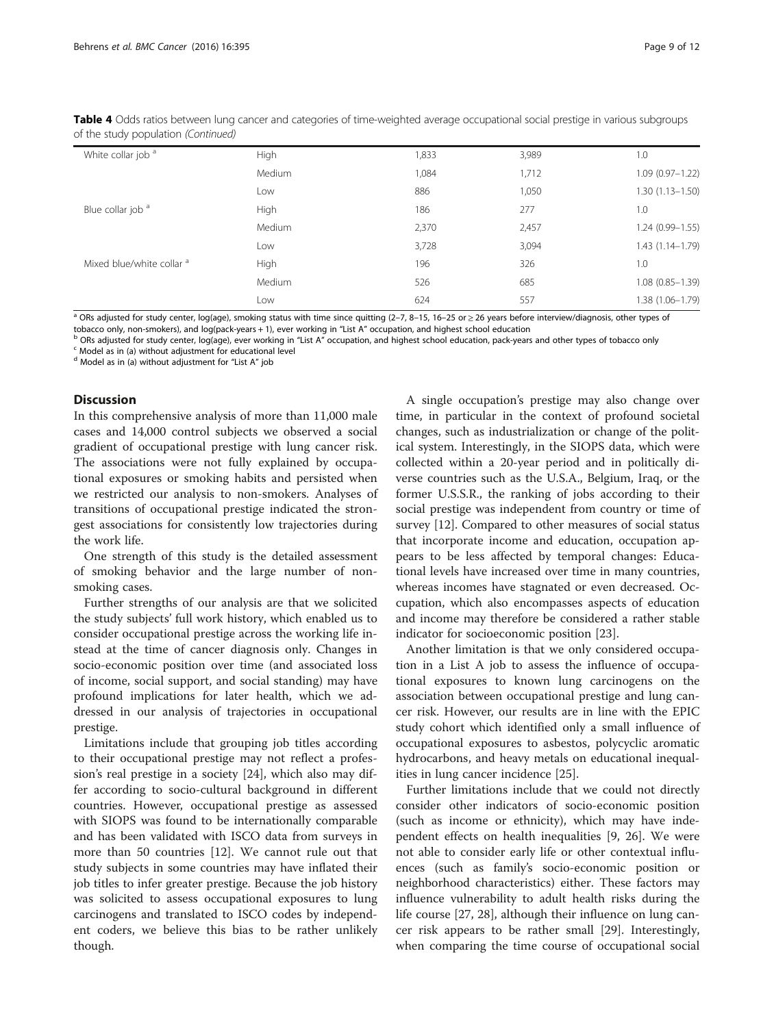| White collar job <sup>a</sup>        | High   | 1,833 | 3,989 | 1.0                 |
|--------------------------------------|--------|-------|-------|---------------------|
|                                      | Medium | 1,084 | 1,712 | $1.09(0.97 - 1.22)$ |
|                                      | Low    | 886   | 1,050 | $1.30(1.13 - 1.50)$ |
| Blue collar job <sup>a</sup>         | High   | 186   | 277   | 1.0                 |
|                                      | Medium | 2,370 | 2,457 | $1.24(0.99 - 1.55)$ |
|                                      | Low    | 3,728 | 3,094 | $1.43(1.14 - 1.79)$ |
| Mixed blue/white collar <sup>a</sup> | High   | 196   | 326   | 1.0                 |
|                                      | Medium | 526   | 685   | $1.08(0.85 - 1.39)$ |
|                                      | Low    | 624   | 557   | $1.38(1.06 - 1.79)$ |
|                                      |        |       |       |                     |

Table 4 Odds ratios between lung cancer and categories of time-weighted average occupational social prestige in various subgroups of the study population (Continued)

<sup>a</sup> ORs adjusted for study center, log(age), smoking status with time since quitting (2–7, 8–15, 16–25 or ≥ 26 years before interview/diagnosis, other types of tobacco only, non-smokers), and log(pack-years + 1), ever wo

b ORs adjusted for study center, log(age), ever working in "List A" occupation, and highest school education, pack-years and other types of tobacco only<br><sup>6</sup> Model as in (a) without adjustment for educational level

<sup>d</sup> Model as in (a) without adjustment for "List A" job

# **Discussion**

In this comprehensive analysis of more than 11,000 male cases and 14,000 control subjects we observed a social gradient of occupational prestige with lung cancer risk. The associations were not fully explained by occupational exposures or smoking habits and persisted when we restricted our analysis to non-smokers. Analyses of transitions of occupational prestige indicated the strongest associations for consistently low trajectories during the work life.

One strength of this study is the detailed assessment of smoking behavior and the large number of nonsmoking cases.

Further strengths of our analysis are that we solicited the study subjects' full work history, which enabled us to consider occupational prestige across the working life instead at the time of cancer diagnosis only. Changes in socio-economic position over time (and associated loss of income, social support, and social standing) may have profound implications for later health, which we addressed in our analysis of trajectories in occupational prestige.

Limitations include that grouping job titles according to their occupational prestige may not reflect a profession's real prestige in a society [[24\]](#page-11-0), which also may differ according to socio-cultural background in different countries. However, occupational prestige as assessed with SIOPS was found to be internationally comparable and has been validated with ISCO data from surveys in more than 50 countries [\[12\]](#page-11-0). We cannot rule out that study subjects in some countries may have inflated their job titles to infer greater prestige. Because the job history was solicited to assess occupational exposures to lung carcinogens and translated to ISCO codes by independent coders, we believe this bias to be rather unlikely though.

A single occupation's prestige may also change over time, in particular in the context of profound societal changes, such as industrialization or change of the political system. Interestingly, in the SIOPS data, which were collected within a 20-year period and in politically diverse countries such as the U.S.A., Belgium, Iraq, or the former U.S.S.R., the ranking of jobs according to their social prestige was independent from country or time of survey [\[12](#page-11-0)]. Compared to other measures of social status that incorporate income and education, occupation appears to be less affected by temporal changes: Educational levels have increased over time in many countries, whereas incomes have stagnated or even decreased. Occupation, which also encompasses aspects of education and income may therefore be considered a rather stable indicator for socioeconomic position [\[23](#page-11-0)].

Another limitation is that we only considered occupation in a List A job to assess the influence of occupational exposures to known lung carcinogens on the association between occupational prestige and lung cancer risk. However, our results are in line with the EPIC study cohort which identified only a small influence of occupational exposures to asbestos, polycyclic aromatic hydrocarbons, and heavy metals on educational inequalities in lung cancer incidence [\[25](#page-11-0)].

Further limitations include that we could not directly consider other indicators of socio-economic position (such as income or ethnicity), which may have independent effects on health inequalities [\[9](#page-11-0), [26](#page-11-0)]. We were not able to consider early life or other contextual influences (such as family's socio-economic position or neighborhood characteristics) either. These factors may influence vulnerability to adult health risks during the life course [[27, 28](#page-11-0)], although their influence on lung cancer risk appears to be rather small [\[29](#page-11-0)]. Interestingly, when comparing the time course of occupational social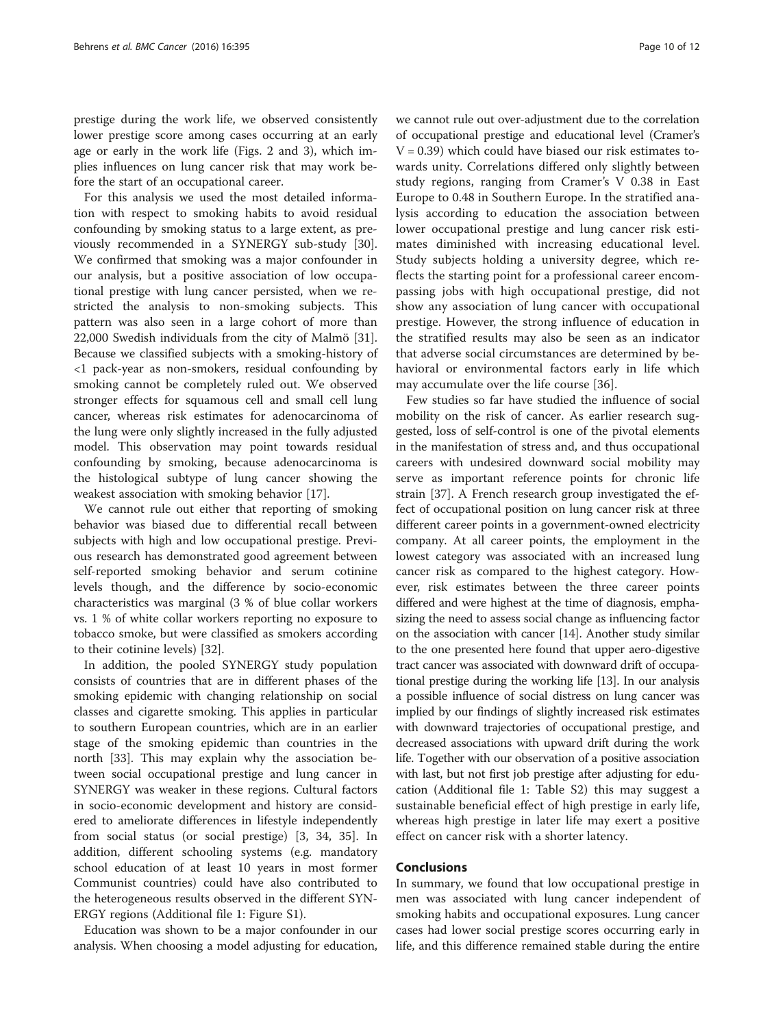prestige during the work life, we observed consistently lower prestige score among cases occurring at an early age or early in the work life (Figs. [2](#page-6-0) and [3](#page-6-0)), which implies influences on lung cancer risk that may work before the start of an occupational career.

For this analysis we used the most detailed information with respect to smoking habits to avoid residual confounding by smoking status to a large extent, as previously recommended in a SYNERGY sub-study [\[30](#page-11-0)]. We confirmed that smoking was a major confounder in our analysis, but a positive association of low occupational prestige with lung cancer persisted, when we restricted the analysis to non-smoking subjects. This pattern was also seen in a large cohort of more than 22,000 Swedish individuals from the city of Malmö [\[31](#page-11-0)]. Because we classified subjects with a smoking-history of <1 pack-year as non-smokers, residual confounding by smoking cannot be completely ruled out. We observed stronger effects for squamous cell and small cell lung cancer, whereas risk estimates for adenocarcinoma of the lung were only slightly increased in the fully adjusted model. This observation may point towards residual confounding by smoking, because adenocarcinoma is the histological subtype of lung cancer showing the weakest association with smoking behavior [[17\]](#page-11-0).

We cannot rule out either that reporting of smoking behavior was biased due to differential recall between subjects with high and low occupational prestige. Previous research has demonstrated good agreement between self-reported smoking behavior and serum cotinine levels though, and the difference by socio-economic characteristics was marginal (3 % of blue collar workers vs. 1 % of white collar workers reporting no exposure to tobacco smoke, but were classified as smokers according to their cotinine levels) [\[32](#page-11-0)].

In addition, the pooled SYNERGY study population consists of countries that are in different phases of the smoking epidemic with changing relationship on social classes and cigarette smoking. This applies in particular to southern European countries, which are in an earlier stage of the smoking epidemic than countries in the north [[33\]](#page-11-0). This may explain why the association between social occupational prestige and lung cancer in SYNERGY was weaker in these regions. Cultural factors in socio-economic development and history are considered to ameliorate differences in lifestyle independently from social status (or social prestige) [\[3](#page-11-0), [34](#page-11-0), [35\]](#page-11-0). In addition, different schooling systems (e.g. mandatory school education of at least 10 years in most former Communist countries) could have also contributed to the heterogeneous results observed in the different SYN-ERGY regions (Additional file [1:](#page-10-0) Figure S1).

Education was shown to be a major confounder in our analysis. When choosing a model adjusting for education, we cannot rule out over-adjustment due to the correlation of occupational prestige and educational level (Cramer's  $V = 0.39$ ) which could have biased our risk estimates towards unity. Correlations differed only slightly between study regions, ranging from Cramer's V 0.38 in East Europe to 0.48 in Southern Europe. In the stratified analysis according to education the association between lower occupational prestige and lung cancer risk estimates diminished with increasing educational level. Study subjects holding a university degree, which reflects the starting point for a professional career encompassing jobs with high occupational prestige, did not show any association of lung cancer with occupational prestige. However, the strong influence of education in the stratified results may also be seen as an indicator that adverse social circumstances are determined by behavioral or environmental factors early in life which may accumulate over the life course [[36\]](#page-11-0).

Few studies so far have studied the influence of social mobility on the risk of cancer. As earlier research suggested, loss of self-control is one of the pivotal elements in the manifestation of stress and, and thus occupational careers with undesired downward social mobility may serve as important reference points for chronic life strain [\[37](#page-11-0)]. A French research group investigated the effect of occupational position on lung cancer risk at three different career points in a government-owned electricity company. At all career points, the employment in the lowest category was associated with an increased lung cancer risk as compared to the highest category. However, risk estimates between the three career points differed and were highest at the time of diagnosis, emphasizing the need to assess social change as influencing factor on the association with cancer [\[14\]](#page-11-0). Another study similar to the one presented here found that upper aero-digestive tract cancer was associated with downward drift of occupational prestige during the working life [\[13\]](#page-11-0). In our analysis a possible influence of social distress on lung cancer was implied by our findings of slightly increased risk estimates with downward trajectories of occupational prestige, and decreased associations with upward drift during the work life. Together with our observation of a positive association with last, but not first job prestige after adjusting for education (Additional file [1](#page-10-0): Table S2) this may suggest a sustainable beneficial effect of high prestige in early life, whereas high prestige in later life may exert a positive effect on cancer risk with a shorter latency.

# Conclusions

In summary, we found that low occupational prestige in men was associated with lung cancer independent of smoking habits and occupational exposures. Lung cancer cases had lower social prestige scores occurring early in life, and this difference remained stable during the entire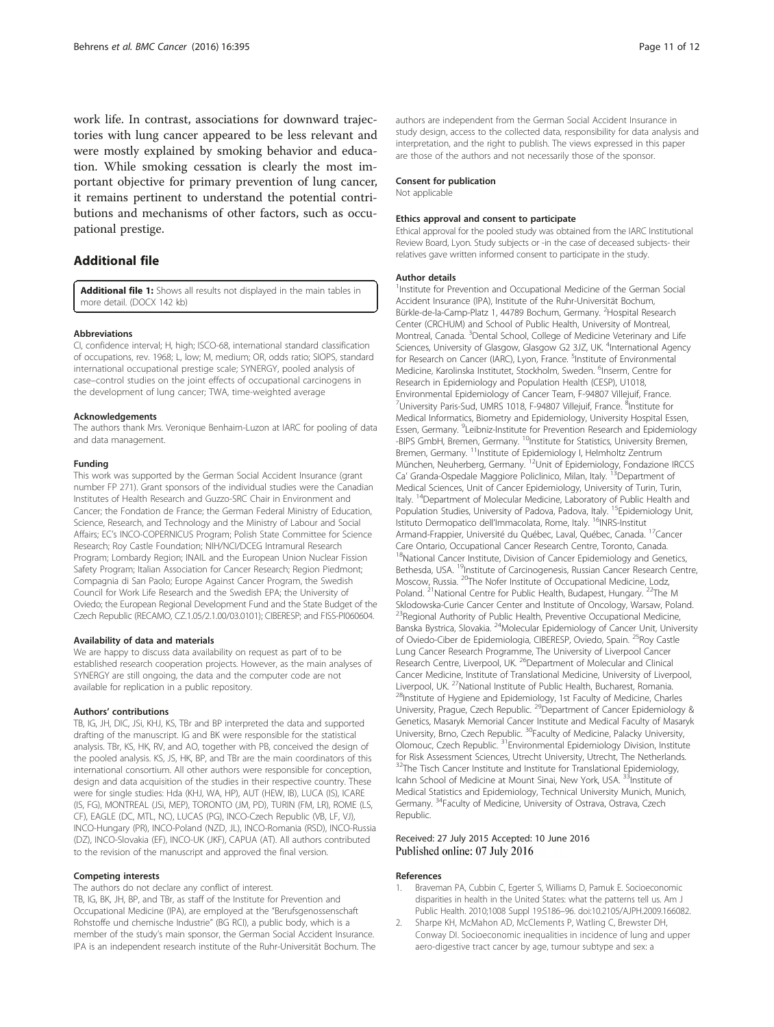<span id="page-10-0"></span>work life. In contrast, associations for downward trajectories with lung cancer appeared to be less relevant and were mostly explained by smoking behavior and education. While smoking cessation is clearly the most important objective for primary prevention of lung cancer, it remains pertinent to understand the potential contributions and mechanisms of other factors, such as occupational prestige.

# Additional file

[Additional file 1:](dx.doi.org/10.1186/s12885-016-2432-9) Shows all results not displayed in the main tables in more detail. (DOCX 142 kb)

#### **Abbreviations**

CI, confidence interval; H, high; ISCO-68, international standard classification of occupations, rev. 1968; L, low; M, medium; OR, odds ratio; SIOPS, standard international occupational prestige scale; SYNERGY, pooled analysis of case–control studies on the joint effects of occupational carcinogens in the development of lung cancer; TWA, time-weighted average

#### Acknowledgements

The authors thank Mrs. Veronique Benhaim-Luzon at IARC for pooling of data and data management.

#### Funding

This work was supported by the German Social Accident Insurance (grant number FP 271). Grant sponsors of the individual studies were the Canadian Institutes of Health Research and Guzzo-SRC Chair in Environment and Cancer; the Fondation de France; the German Federal Ministry of Education, Science, Research, and Technology and the Ministry of Labour and Social Affairs; EC's INCO-COPERNICUS Program; Polish State Committee for Science Research; Roy Castle Foundation; NIH/NCI/DCEG Intramural Research Program; Lombardy Region; INAIL and the European Union Nuclear Fission Safety Program; Italian Association for Cancer Research; Region Piedmont; Compagnia di San Paolo; Europe Against Cancer Program, the Swedish Council for Work Life Research and the Swedish EPA; the University of Oviedo; the European Regional Development Fund and the State Budget of the Czech Republic (RECAMO, CZ.1.05/2.1.00/03.0101); CIBERESP; and FISS-PI060604.

#### Availability of data and materials

We are happy to discuss data availability on request as part of to be established research cooperation projects. However, as the main analyses of SYNERGY are still ongoing, the data and the computer code are not available for replication in a public repository.

#### Authors' contributions

TB, IG, JH, DIC, JSi, KHJ, KS, TBr and BP interpreted the data and supported drafting of the manuscript. IG and BK were responsible for the statistical analysis. TBr, KS, HK, RV, and AO, together with PB, conceived the design of the pooled analysis. KS, JS, HK, BP, and TBr are the main coordinators of this international consortium. All other authors were responsible for conception, design and data acquisition of the studies in their respective country. These were for single studies: Hda (KHJ, WA, HP), AUT (HEW, IB), LUCA (IS), ICARE (IS, FG), MONTREAL (JSi, MEP), TORONTO (JM, PD), TURIN (FM, LR), ROME (LS, CF), EAGLE (DC, MTL, NC), LUCAS (PG), INCO-Czech Republic (VB, LF, VJ), INCO-Hungary (PR), INCO-Poland (NZD, JL), INCO-Romania (RSD), INCO-Russia (DZ), INCO-Slovakia (EF), INCO-UK (JKF), CAPUA (AT). All authors contributed to the revision of the manuscript and approved the final version.

#### Competing interests

The authors do not declare any conflict of interest. TB, IG, BK, JH, BP, and TBr, as staff of the Institute for Prevention and Occupational Medicine (IPA), are employed at the "Berufsgenossenschaft Rohstoffe und chemische Industrie" (BG RCI), a public body, which is a member of the study's main sponsor, the German Social Accident Insurance. IPA is an independent research institute of the Ruhr-Universität Bochum. The authors are independent from the German Social Accident Insurance in study design, access to the collected data, responsibility for data analysis and interpretation, and the right to publish. The views expressed in this paper are those of the authors and not necessarily those of the sponsor.

#### Consent for publication

Not applicable

#### Ethics approval and consent to participate

Ethical approval for the pooled study was obtained from the IARC Institutional Review Board, Lyon. Study subjects or -in the case of deceased subjects- their relatives gave written informed consent to participate in the study.

#### Author details

<sup>1</sup>Institute for Prevention and Occupational Medicine of the German Social Accident Insurance (IPA), Institute of the Ruhr-Universität Bochum, Bürkle-de-la-Camp-Platz 1, 44789 Bochum, Germany. <sup>2</sup>Hospital Research Center (CRCHUM) and School of Public Health, University of Montreal, Montreal, Canada. <sup>3</sup>Dental School, College of Medicine Veterinary and Life Sciences, University of Glasgow, Glasgow G2 3JZ, UK. <sup>4</sup>International Agency for Research on Cancer (IARC), Lyon, France. <sup>5</sup>Institute of Environmental Medicine, Karolinska Institutet, Stockholm, Sweden. <sup>6</sup>Inserm, Centre for Research in Epidemiology and Population Health (CESP), U1018, Environmental Epidemiology of Cancer Team, F-94807 Villejuif, France. <sup>7</sup>University Paris-Sud, UMRS 1018, F-94807 Villejuif, France. <sup>8</sup>Institute for Medical Informatics, Biometry and Epidemiology, University Hospital Essen, Essen, Germany. <sup>9</sup>Leibniz-Institute for Prevention Research and Epidemiology -BIPS GmbH, Bremen, Germany. <sup>10</sup>Institute for Statistics, University Bremen, Bremen, Germany. <sup>11</sup>Institute of Epidemiology I, Helmholtz Zentrum München, Neuherberg, Germany. <sup>12</sup>Unit of Epidemiology, Fondazione IRCCS Ca' Granda-Ospedale Maggiore Policlinico, Milan, Italy. 13Department of Medical Sciences, Unit of Cancer Epidemiology, University of Turin, Turin, Italy. <sup>14</sup>Department of Molecular Medicine, Laboratory of Public Health and Population Studies, University of Padova, Padova, Italy. <sup>15</sup>Epidemiology Unit, Istituto Dermopatico dell'Immacolata, Rome, Italy. <sup>16</sup>INRS-Institut Armand-Frappier, Université du Québec, Laval, Québec, Canada. 17Cancer Care Ontario, Occupational Cancer Research Centre, Toronto, Canada. <sup>18</sup>National Cancer Institute, Division of Cancer Epidemiology and Genetics, Bethesda, USA. <sup>19</sup>Institute of Carcinogenesis, Russian Cancer Research Centre, Moscow, Russia. <sup>20</sup>The Nofer Institute of Occupational Medicine, Lodz, Poland. <sup>21</sup>National Centre for Public Health, Budapest, Hungary. <sup>22</sup>The M Sklodowska-Curie Cancer Center and Institute of Oncology, Warsaw, Poland. <sup>23</sup>Regional Authority of Public Health, Preventive Occupational Medicine, Banska Bystrica, Slovakia. 24Molecular Epidemiology of Cancer Unit, University of Oviedo-Ciber de Epidemiologia, CIBERESP, Oviedo, Spain. 25Roy Castle Lung Cancer Research Programme, The University of Liverpool Cancer<br>Research Centre, Liverpool, UK. <sup>26</sup>Department of Molecular and Clinical Cancer Medicine, Institute of Translational Medicine, University of Liverpool, Liverpool, UK. <sup>27</sup>National Institute of Public Health, Bucharest, Romania.<br><sup>28</sup>Institute of Hygiene and Epidemiology, 1st Faculty of Medicine, Charles University, Prague, Czech Republic. <sup>29</sup>Department of Cancer Epidemiology & Genetics, Masaryk Memorial Cancer Institute and Medical Faculty of Masaryk University, Brno, Czech Republic. 30Faculty of Medicine, Palacky University, Olomouc, Czech Republic. 31Environmental Epidemiology Division, Institute for Risk Assessment Sciences, Utrecht University, Utrecht, The Netherlands. <sup>32</sup>The Tisch Cancer Institute and Institute for Translational Epidemiology, Icahn School of Medicine at Mount Sinai, New York, USA. 33Institute of Medical Statistics and Epidemiology, Technical University Munich, Munich, Germany. 34Faculty of Medicine, University of Ostrava, Ostrava, Czech Republic.

# Received: 27 July 2015 Accepted: 10 June 2016 Published online: 07 July 2016

#### References

- 1. Braveman PA, Cubbin C, Egerter S, Williams D, Pamuk E. Socioeconomic disparities in health in the United States: what the patterns tell us. Am J Public Health. 2010;1008 Suppl 19:S186–96. doi[:10.2105/AJPH.2009.166082.](http://dx.doi.org/10.2105/AJPH.2009.166082)
- 2. Sharpe KH, McMahon AD, McClements P, Watling C, Brewster DH, Conway DI. Socioeconomic inequalities in incidence of lung and upper aero-digestive tract cancer by age, tumour subtype and sex: a